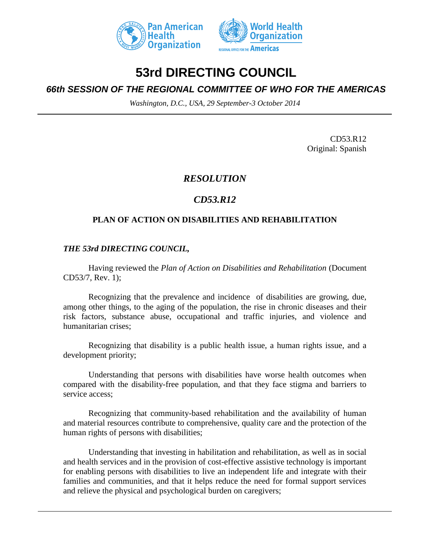



# **53rd DIRECTING COUNCIL**

## *66th SESSION OF THE REGIONAL COMMITTEE OF WHO FOR THE AMERICAS*

*Washington, D.C., USA, 29 September-3 October 2014*

CD53.R12 Original: Spanish

### *RESOLUTION*

## *CD53.R12*

#### **PLAN OF ACTION ON DISABILITIES AND REHABILITATION**

#### *THE 53rd DIRECTING COUNCIL,*

Having reviewed the *Plan of Action on Disabilities and Rehabilitation* (Document CD53/7, Rev. 1);

Recognizing that the prevalence and incidenceof disabilities are growing, due, among other things, to the aging of the population, the rise in chronic diseases and their risk factors, substance abuse, occupational and traffic injuries, and violence and humanitarian crises;

Recognizing that disability is a public health issue, a human rights issue, and a development priority;

Understanding that persons with disabilities have worse health outcomes when compared with the disability-free population, and that they face stigma and barriers to service access;

Recognizing that community-based rehabilitation and the availability of human and material resources contribute to comprehensive, quality care and the protection of the human rights of persons with disabilities;

Understanding that investing in habilitation and rehabilitation, as well as in social and health services and in the provision of cost-effective assistive technology is important for enabling persons with disabilities to live an independent life and integrate with their families and communities, and that it helps reduce the need for formal support services and relieve the physical and psychological burden on caregivers;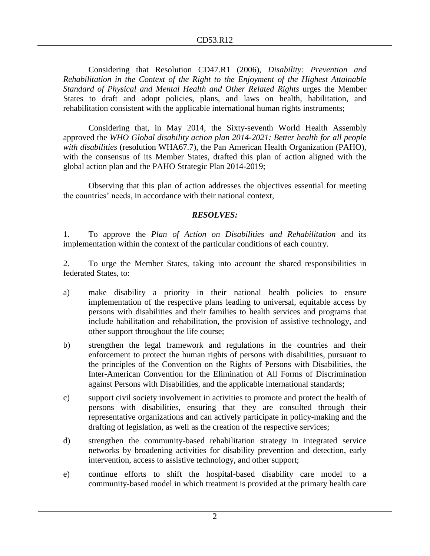Considering that Resolution CD47.R1 (2006), *Disability: Prevention and Rehabilitation in the Context of the Right to the Enjoyment of the Highest Attainable Standard of Physical and Mental Health and Other Related Rights* urges the Member States to draft and adopt policies, plans, and laws on health, habilitation, and rehabilitation consistent with the applicable international human rights instruments;

Considering that, in May 2014, the Sixty-seventh World Health Assembly approved the *WHO Global disability action plan 2014-2021: Better health for all people with disabilities* (resolution WHA67.7), the Pan American Health Organization (PAHO), with the consensus of its Member States, drafted this plan of action aligned with the global action plan and the PAHO Strategic Plan 2014-2019;

Observing that this plan of action addresses the objectives essential for meeting the countries' needs, in accordance with their national context,

#### *RESOLVES:*

1. To approve the *Plan of Action on Disabilities and Rehabilitation* and its implementation within the context of the particular conditions of each country.

2. To urge the Member States, taking into account the shared responsibilities in federated States, to:

- a) make disability a priority in their national health policies to ensure implementation of the respective plans leading to universal, equitable access by persons with disabilities and their families to health services and programs that include habilitation and rehabilitation, the provision of assistive technology, and other support throughout the life course;
- b) strengthen the legal framework and regulations in the countries and their enforcement to protect the human rights of persons with disabilities, pursuant to the principles of the Convention on the Rights of Persons with Disabilities, the Inter-American Convention for the Elimination of All Forms of Discrimination against Persons with Disabilities, and the applicable international standards;
- c) support civil society involvement in activities to promote and protect the health of persons with disabilities, ensuring that they are consulted through their representative organizations and can actively participate in policy-making and the drafting of legislation, as well as the creation of the respective services;
- d) strengthen the community-based rehabilitation strategy in integrated service networks by broadening activities for disability prevention and detection, early intervention, access to assistive technology, and other support;
- e) continue efforts to shift the hospital-based disability care model to a community-based model in which treatment is provided at the primary health care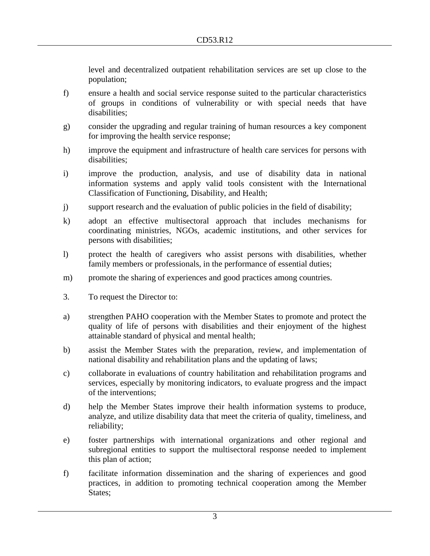level and decentralized outpatient rehabilitation services are set up close to the population;

- f) ensure a health and social service response suited to the particular characteristics of groups in conditions of vulnerability or with special needs that have disabilities;
- g) consider the upgrading and regular training of human resources a key component for improving the health service response;
- h) improve the equipment and infrastructure of health care services for persons with disabilities;
- i) improve the production, analysis, and use of disability data in national information systems and apply valid tools consistent with the International Classification of Functioning, Disability, and Health;
- j) support research and the evaluation of public policies in the field of disability;
- k) adopt an effective multisectoral approach that includes mechanisms for coordinating ministries, NGOs, academic institutions, and other services for persons with disabilities;
- l) protect the health of caregivers who assist persons with disabilities, whether family members or professionals, in the performance of essential duties;
- m) promote the sharing of experiences and good practices among countries.
- 3. To request the Director to:
- a) strengthen PAHO cooperation with the Member States to promote and protect the quality of life of persons with disabilities and their enjoyment of the highest attainable standard of physical and mental health;
- b) assist the Member States with the preparation, review, and implementation of national disability and rehabilitation plans and the updating of laws;
- c) collaborate in evaluations of country habilitation and rehabilitation programs and services, especially by monitoring indicators, to evaluate progress and the impact of the interventions;
- d) help the Member States improve their health information systems to produce, analyze, and utilize disability data that meet the criteria of quality, timeliness, and reliability;
- e) foster partnerships with international organizations and other regional and subregional entities to support the multisectoral response needed to implement this plan of action;
- f) facilitate information dissemination and the sharing of experiences and good practices, in addition to promoting technical cooperation among the Member States;